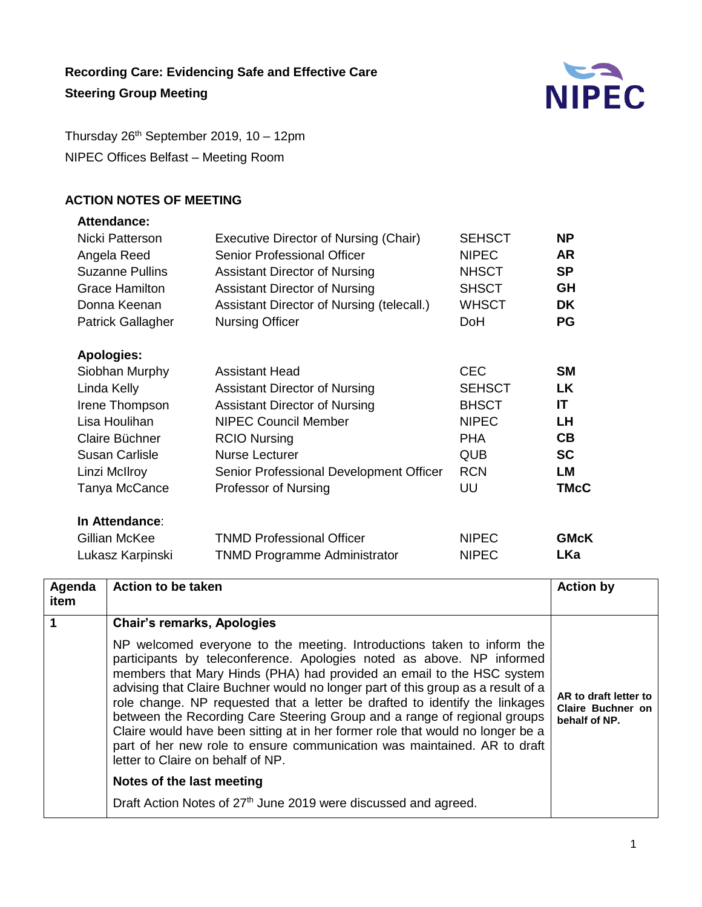

Thursday 26 th September 2019, 10 – 12pm NIPEC Offices Belfast – Meeting Room

# **ACTION NOTES OF MEETING**

## **Attendance:**

| Nicki Patterson          | Executive Director of Nursing (Chair)     | <b>SEHSCT</b> | <b>NP</b>   |
|--------------------------|-------------------------------------------|---------------|-------------|
| Angela Reed              | Senior Professional Officer               | <b>NIPEC</b>  | <b>AR</b>   |
| <b>Suzanne Pullins</b>   | <b>Assistant Director of Nursing</b>      | <b>NHSCT</b>  | <b>SP</b>   |
| <b>Grace Hamilton</b>    | <b>Assistant Director of Nursing</b>      | <b>SHSCT</b>  | GH          |
| Donna Keenan             | Assistant Director of Nursing (telecall.) | <b>WHSCT</b>  | DK          |
| <b>Patrick Gallagher</b> | <b>Nursing Officer</b>                    | DoH           | <b>PG</b>   |
| <b>Apologies:</b>        |                                           |               |             |
| Siobhan Murphy           | <b>Assistant Head</b>                     | <b>CEC</b>    | <b>SM</b>   |
| Linda Kelly              | <b>Assistant Director of Nursing</b>      | <b>SEHSCT</b> | LK          |
| Irene Thompson           | <b>Assistant Director of Nursing</b>      | <b>BHSCT</b>  | <b>IT</b>   |
| Lisa Houlihan            | <b>NIPEC Council Member</b>               | <b>NIPEC</b>  | LH          |
| Claire Büchner           | <b>RCIO Nursing</b>                       | <b>PHA</b>    | CB          |
| <b>Susan Carlisle</b>    | <b>Nurse Lecturer</b>                     | QUB           | <b>SC</b>   |
| Linzi McIlroy            | Senior Professional Development Officer   | <b>RCN</b>    | LM          |
| Tanya McCance            | Professor of Nursing                      | UU            | <b>TMcC</b> |
| In Attendance:           |                                           |               |             |
| Gillian McKee            | <b>TNMD Professional Officer</b>          | <b>NIPEC</b>  | <b>GMcK</b> |
| Lukasz Karpinski         | <b>TNMD Programme Administrator</b>       | <b>NIPEC</b>  | <b>LKa</b>  |

| Agenda<br>item       | Action to be taken                                                                                                                                                                                                                                                                                                                                                                                                                                                                                                                                                                                                                                                         | <b>Action by</b>                                            |
|----------------------|----------------------------------------------------------------------------------------------------------------------------------------------------------------------------------------------------------------------------------------------------------------------------------------------------------------------------------------------------------------------------------------------------------------------------------------------------------------------------------------------------------------------------------------------------------------------------------------------------------------------------------------------------------------------------|-------------------------------------------------------------|
| $\blacktriangleleft$ | <b>Chair's remarks, Apologies</b>                                                                                                                                                                                                                                                                                                                                                                                                                                                                                                                                                                                                                                          |                                                             |
|                      | NP welcomed everyone to the meeting. Introductions taken to inform the<br>participants by teleconference. Apologies noted as above. NP informed<br>members that Mary Hinds (PHA) had provided an email to the HSC system<br>advising that Claire Buchner would no longer part of this group as a result of a<br>role change. NP requested that a letter be drafted to identify the linkages<br>between the Recording Care Steering Group and a range of regional groups<br>Claire would have been sitting at in her former role that would no longer be a<br>part of her new role to ensure communication was maintained. AR to draft<br>letter to Claire on behalf of NP. | AR to draft letter to<br>Claire Buchner on<br>behalf of NP. |
|                      | Notes of the last meeting                                                                                                                                                                                                                                                                                                                                                                                                                                                                                                                                                                                                                                                  |                                                             |
|                      | Draft Action Notes of 27 <sup>th</sup> June 2019 were discussed and agreed.                                                                                                                                                                                                                                                                                                                                                                                                                                                                                                                                                                                                |                                                             |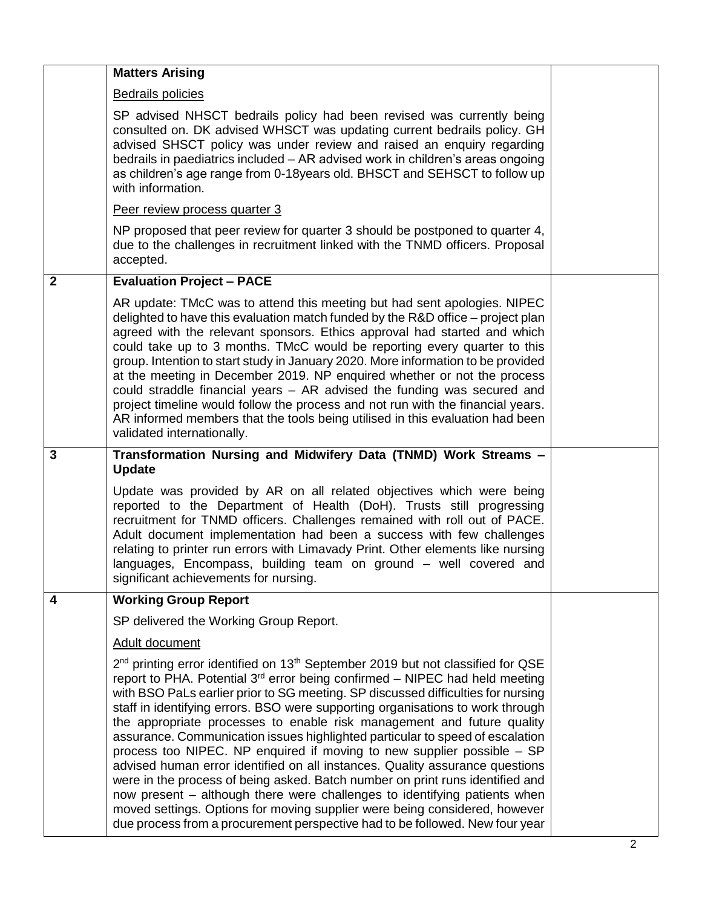|                         | <b>Matters Arising</b>                                                                                                                                                                                                                                                                                                                                                                                                                                                                                                                                                                                                                                                                                                                                                                                                                                                                                                                                                                                             |  |
|-------------------------|--------------------------------------------------------------------------------------------------------------------------------------------------------------------------------------------------------------------------------------------------------------------------------------------------------------------------------------------------------------------------------------------------------------------------------------------------------------------------------------------------------------------------------------------------------------------------------------------------------------------------------------------------------------------------------------------------------------------------------------------------------------------------------------------------------------------------------------------------------------------------------------------------------------------------------------------------------------------------------------------------------------------|--|
|                         | <b>Bedrails policies</b>                                                                                                                                                                                                                                                                                                                                                                                                                                                                                                                                                                                                                                                                                                                                                                                                                                                                                                                                                                                           |  |
|                         | SP advised NHSCT bedrails policy had been revised was currently being<br>consulted on. DK advised WHSCT was updating current bedrails policy. GH<br>advised SHSCT policy was under review and raised an enquiry regarding<br>bedrails in paediatrics included - AR advised work in children's areas ongoing<br>as children's age range from 0-18years old. BHSCT and SEHSCT to follow up<br>with information.                                                                                                                                                                                                                                                                                                                                                                                                                                                                                                                                                                                                      |  |
|                         | Peer review process quarter 3                                                                                                                                                                                                                                                                                                                                                                                                                                                                                                                                                                                                                                                                                                                                                                                                                                                                                                                                                                                      |  |
|                         | NP proposed that peer review for quarter 3 should be postponed to quarter 4,<br>due to the challenges in recruitment linked with the TNMD officers. Proposal<br>accepted.                                                                                                                                                                                                                                                                                                                                                                                                                                                                                                                                                                                                                                                                                                                                                                                                                                          |  |
| $\overline{2}$          | <b>Evaluation Project - PACE</b>                                                                                                                                                                                                                                                                                                                                                                                                                                                                                                                                                                                                                                                                                                                                                                                                                                                                                                                                                                                   |  |
|                         | AR update: TMcC was to attend this meeting but had sent apologies. NIPEC<br>delighted to have this evaluation match funded by the R&D office – project plan<br>agreed with the relevant sponsors. Ethics approval had started and which<br>could take up to 3 months. TMcC would be reporting every quarter to this<br>group. Intention to start study in January 2020. More information to be provided<br>at the meeting in December 2019. NP enquired whether or not the process<br>could straddle financial years - AR advised the funding was secured and<br>project timeline would follow the process and not run with the financial years.<br>AR informed members that the tools being utilised in this evaluation had been<br>validated internationally.                                                                                                                                                                                                                                                    |  |
| $\overline{3}$          | Transformation Nursing and Midwifery Data (TNMD) Work Streams -<br><b>Update</b>                                                                                                                                                                                                                                                                                                                                                                                                                                                                                                                                                                                                                                                                                                                                                                                                                                                                                                                                   |  |
|                         | Update was provided by AR on all related objectives which were being<br>reported to the Department of Health (DoH). Trusts still progressing<br>recruitment for TNMD officers. Challenges remained with roll out of PACE.<br>Adult document implementation had been a success with few challenges<br>relating to printer run errors with Limavady Print. Other elements like nursing<br>languages, Encompass, building team on ground - well covered and<br>significant achievements for nursing.                                                                                                                                                                                                                                                                                                                                                                                                                                                                                                                  |  |
| $\overline{\mathbf{4}}$ | <b>Working Group Report</b>                                                                                                                                                                                                                                                                                                                                                                                                                                                                                                                                                                                                                                                                                                                                                                                                                                                                                                                                                                                        |  |
|                         | SP delivered the Working Group Report.                                                                                                                                                                                                                                                                                                                                                                                                                                                                                                                                                                                                                                                                                                                                                                                                                                                                                                                                                                             |  |
|                         | Adult document                                                                                                                                                                                                                                                                                                                                                                                                                                                                                                                                                                                                                                                                                                                                                                                                                                                                                                                                                                                                     |  |
|                         | 2 <sup>nd</sup> printing error identified on 13 <sup>th</sup> September 2019 but not classified for QSE<br>report to PHA. Potential $3^{rd}$ error being confirmed – NIPEC had held meeting<br>with BSO PaLs earlier prior to SG meeting. SP discussed difficulties for nursing<br>staff in identifying errors. BSO were supporting organisations to work through<br>the appropriate processes to enable risk management and future quality<br>assurance. Communication issues highlighted particular to speed of escalation<br>process too NIPEC. NP enquired if moving to new supplier possible - SP<br>advised human error identified on all instances. Quality assurance questions<br>were in the process of being asked. Batch number on print runs identified and<br>now present – although there were challenges to identifying patients when<br>moved settings. Options for moving supplier were being considered, however<br>due process from a procurement perspective had to be followed. New four year |  |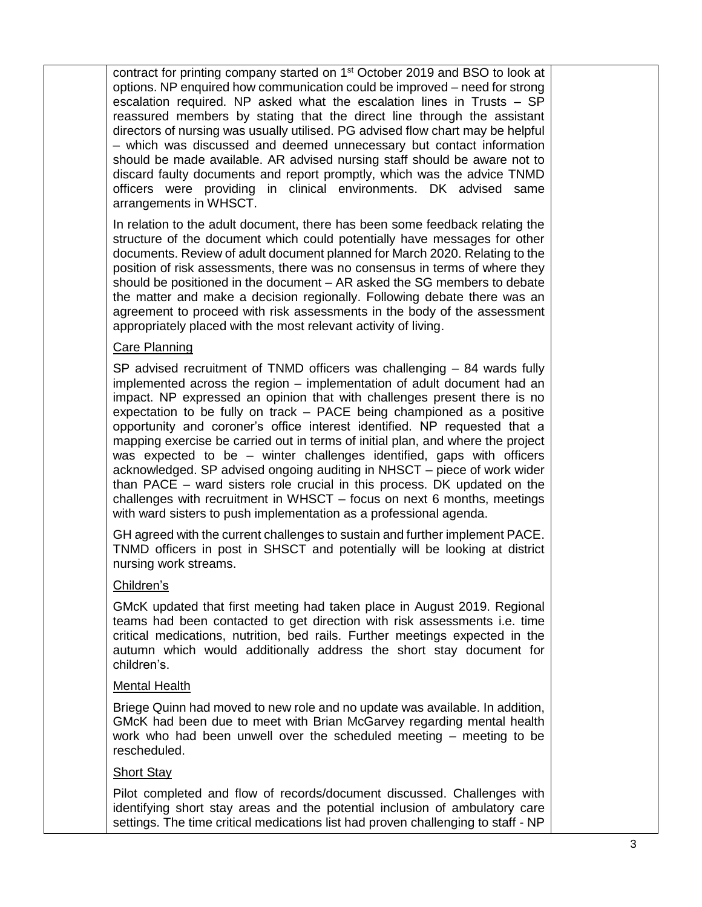contract for printing company started on 1<sup>st</sup> October 2019 and BSO to look at options. NP enquired how communication could be improved – need for strong escalation required. NP asked what the escalation lines in Trusts – SP reassured members by stating that the direct line through the assistant directors of nursing was usually utilised. PG advised flow chart may be helpful – which was discussed and deemed unnecessary but contact information should be made available. AR advised nursing staff should be aware not to discard faulty documents and report promptly, which was the advice TNMD officers were providing in clinical environments. DK advised same arrangements in WHSCT.

In relation to the adult document, there has been some feedback relating the structure of the document which could potentially have messages for other documents. Review of adult document planned for March 2020. Relating to the position of risk assessments, there was no consensus in terms of where they should be positioned in the document – AR asked the SG members to debate the matter and make a decision regionally. Following debate there was an agreement to proceed with risk assessments in the body of the assessment appropriately placed with the most relevant activity of living.

### Care Planning

SP advised recruitment of TNMD officers was challenging – 84 wards fully implemented across the region – implementation of adult document had an impact. NP expressed an opinion that with challenges present there is no expectation to be fully on track – PACE being championed as a positive opportunity and coroner's office interest identified. NP requested that a mapping exercise be carried out in terms of initial plan, and where the project was expected to be – winter challenges identified, gaps with officers acknowledged. SP advised ongoing auditing in NHSCT – piece of work wider than PACE – ward sisters role crucial in this process. DK updated on the challenges with recruitment in WHSCT – focus on next 6 months, meetings with ward sisters to push implementation as a professional agenda.

GH agreed with the current challenges to sustain and further implement PACE. TNMD officers in post in SHSCT and potentially will be looking at district nursing work streams.

#### Children's

GMcK updated that first meeting had taken place in August 2019. Regional teams had been contacted to get direction with risk assessments i.e. time critical medications, nutrition, bed rails. Further meetings expected in the autumn which would additionally address the short stay document for children's.

#### Mental Health

Briege Quinn had moved to new role and no update was available. In addition, GMcK had been due to meet with Brian McGarvey regarding mental health work who had been unwell over the scheduled meeting – meeting to be rescheduled.

#### Short Stay

Pilot completed and flow of records/document discussed. Challenges with identifying short stay areas and the potential inclusion of ambulatory care settings. The time critical medications list had proven challenging to staff - NP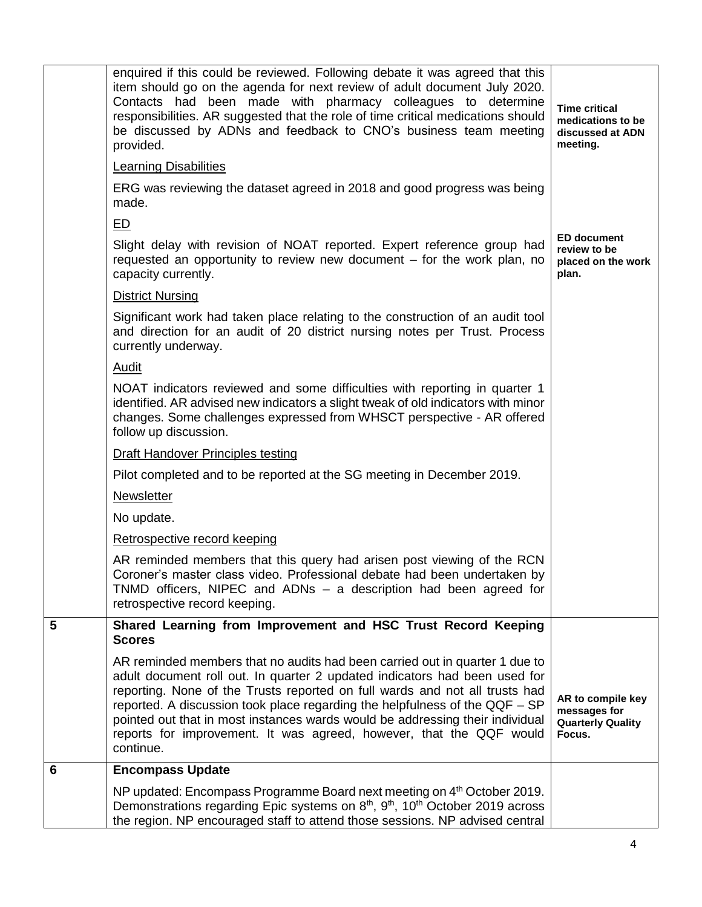|   | enquired if this could be reviewed. Following debate it was agreed that this<br>item should go on the agenda for next review of adult document July 2020.<br>Contacts had been made with pharmacy colleagues to determine<br>responsibilities. AR suggested that the role of time critical medications should<br>be discussed by ADNs and feedback to CNO's business team meeting<br>provided.                                                                                               | <b>Time critical</b><br>medications to be<br>discussed at ADN<br>meeting. |
|---|----------------------------------------------------------------------------------------------------------------------------------------------------------------------------------------------------------------------------------------------------------------------------------------------------------------------------------------------------------------------------------------------------------------------------------------------------------------------------------------------|---------------------------------------------------------------------------|
|   | <b>Learning Disabilities</b>                                                                                                                                                                                                                                                                                                                                                                                                                                                                 |                                                                           |
|   | ERG was reviewing the dataset agreed in 2018 and good progress was being<br>made.                                                                                                                                                                                                                                                                                                                                                                                                            |                                                                           |
|   | E                                                                                                                                                                                                                                                                                                                                                                                                                                                                                            |                                                                           |
|   | Slight delay with revision of NOAT reported. Expert reference group had<br>requested an opportunity to review new document – for the work plan, no<br>capacity currently.                                                                                                                                                                                                                                                                                                                    | <b>ED document</b><br>review to be<br>placed on the work<br>plan.         |
|   | <b>District Nursing</b>                                                                                                                                                                                                                                                                                                                                                                                                                                                                      |                                                                           |
|   | Significant work had taken place relating to the construction of an audit tool<br>and direction for an audit of 20 district nursing notes per Trust. Process<br>currently underway.                                                                                                                                                                                                                                                                                                          |                                                                           |
|   | <b>Audit</b>                                                                                                                                                                                                                                                                                                                                                                                                                                                                                 |                                                                           |
|   | NOAT indicators reviewed and some difficulties with reporting in quarter 1<br>identified. AR advised new indicators a slight tweak of old indicators with minor<br>changes. Some challenges expressed from WHSCT perspective - AR offered<br>follow up discussion.                                                                                                                                                                                                                           |                                                                           |
|   | <b>Draft Handover Principles testing</b>                                                                                                                                                                                                                                                                                                                                                                                                                                                     |                                                                           |
|   | Pilot completed and to be reported at the SG meeting in December 2019.                                                                                                                                                                                                                                                                                                                                                                                                                       |                                                                           |
|   | Newsletter                                                                                                                                                                                                                                                                                                                                                                                                                                                                                   |                                                                           |
|   | No update.                                                                                                                                                                                                                                                                                                                                                                                                                                                                                   |                                                                           |
|   | Retrospective record keeping                                                                                                                                                                                                                                                                                                                                                                                                                                                                 |                                                                           |
|   | AR reminded members that this query had arisen post viewing of the RCN<br>Coroner's master class video. Professional debate had been undertaken by<br>TNMD officers, NIPEC and ADNs - a description had been agreed for<br>retrospective record keeping.                                                                                                                                                                                                                                     |                                                                           |
| 5 | Shared Learning from Improvement and HSC Trust Record Keeping<br><b>Scores</b>                                                                                                                                                                                                                                                                                                                                                                                                               |                                                                           |
|   | AR reminded members that no audits had been carried out in quarter 1 due to<br>adult document roll out. In quarter 2 updated indicators had been used for<br>reporting. None of the Trusts reported on full wards and not all trusts had<br>reported. A discussion took place regarding the helpfulness of the QQF - SP<br>pointed out that in most instances wards would be addressing their individual<br>reports for improvement. It was agreed, however, that the QQF would<br>continue. | AR to compile key<br>messages for<br><b>Quarterly Quality</b><br>Focus.   |
| 6 | <b>Encompass Update</b>                                                                                                                                                                                                                                                                                                                                                                                                                                                                      |                                                                           |
|   | NP updated: Encompass Programme Board next meeting on 4th October 2019.<br>Demonstrations regarding Epic systems on 8 <sup>th</sup> , 9 <sup>th</sup> , 10 <sup>th</sup> October 2019 across<br>the region. NP encouraged staff to attend those sessions. NP advised central                                                                                                                                                                                                                 |                                                                           |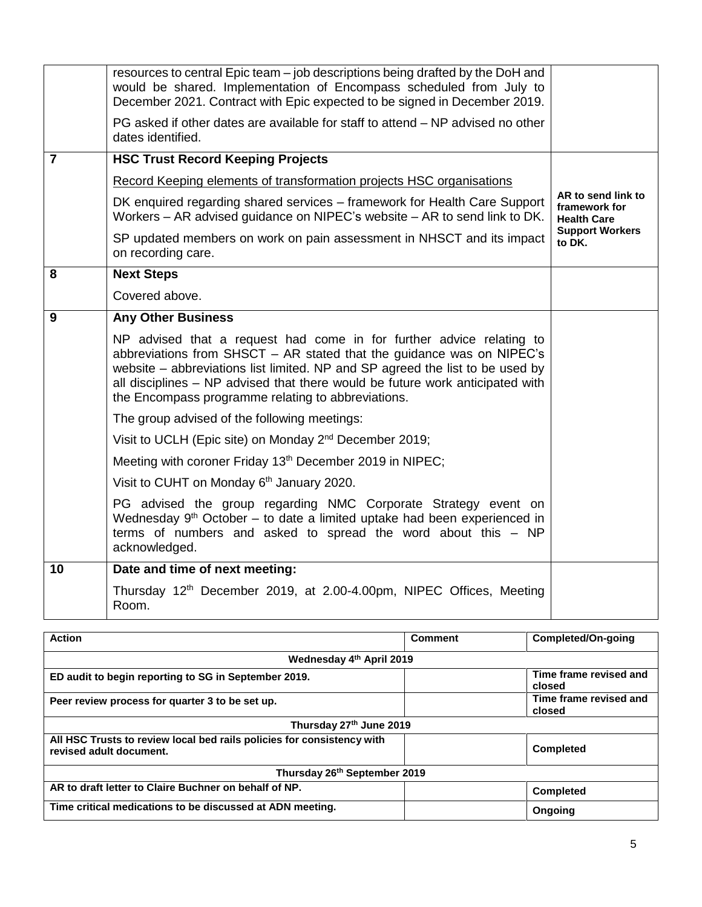|                | resources to central Epic team – job descriptions being drafted by the DoH and<br>would be shared. Implementation of Encompass scheduled from July to<br>December 2021. Contract with Epic expected to be signed in December 2019.<br>PG asked if other dates are available for staff to attend – NP advised no other<br>dates identified.                            |                                                           |
|----------------|-----------------------------------------------------------------------------------------------------------------------------------------------------------------------------------------------------------------------------------------------------------------------------------------------------------------------------------------------------------------------|-----------------------------------------------------------|
| $\overline{7}$ | <b>HSC Trust Record Keeping Projects</b>                                                                                                                                                                                                                                                                                                                              |                                                           |
|                | Record Keeping elements of transformation projects HSC organisations                                                                                                                                                                                                                                                                                                  |                                                           |
|                | DK enquired regarding shared services – framework for Health Care Support<br>Workers - AR advised guidance on NIPEC's website - AR to send link to DK.                                                                                                                                                                                                                | AR to send link to<br>framework for<br><b>Health Care</b> |
|                | SP updated members on work on pain assessment in NHSCT and its impact<br>on recording care.                                                                                                                                                                                                                                                                           | <b>Support Workers</b><br>to DK.                          |
| 8              | <b>Next Steps</b>                                                                                                                                                                                                                                                                                                                                                     |                                                           |
|                | Covered above.                                                                                                                                                                                                                                                                                                                                                        |                                                           |
| 9              | <b>Any Other Business</b>                                                                                                                                                                                                                                                                                                                                             |                                                           |
|                | NP advised that a request had come in for further advice relating to<br>abbreviations from SHSCT - AR stated that the guidance was on NIPEC's<br>website – abbreviations list limited. NP and SP agreed the list to be used by<br>all disciplines – NP advised that there would be future work anticipated with<br>the Encompass programme relating to abbreviations. |                                                           |
|                | The group advised of the following meetings:                                                                                                                                                                                                                                                                                                                          |                                                           |
|                | Visit to UCLH (Epic site) on Monday 2 <sup>nd</sup> December 2019;                                                                                                                                                                                                                                                                                                    |                                                           |
|                | Meeting with coroner Friday 13 <sup>th</sup> December 2019 in NIPEC;                                                                                                                                                                                                                                                                                                  |                                                           |
|                | Visit to CUHT on Monday 6 <sup>th</sup> January 2020.                                                                                                                                                                                                                                                                                                                 |                                                           |
|                | PG advised the group regarding NMC Corporate Strategy event on<br>Wednesday 9 <sup>th</sup> October - to date a limited uptake had been experienced in<br>terms of numbers and asked to spread the word about this - NP<br>acknowledged.                                                                                                                              |                                                           |
| 10             | Date and time of next meeting:                                                                                                                                                                                                                                                                                                                                        |                                                           |
|                | Thursday 12 <sup>th</sup> December 2019, at 2.00-4.00pm, NIPEC Offices, Meeting<br>Room.                                                                                                                                                                                                                                                                              |                                                           |

| <b>Action</b>                                                                                     | <b>Comment</b> | Completed/On-going               |
|---------------------------------------------------------------------------------------------------|----------------|----------------------------------|
| Wednesday 4th April 2019                                                                          |                |                                  |
| ED audit to begin reporting to SG in September 2019.                                              |                | Time frame revised and<br>closed |
| Peer review process for quarter 3 to be set up.                                                   |                | Time frame revised and<br>closed |
| Thursday 27th June 2019                                                                           |                |                                  |
| All HSC Trusts to review local bed rails policies for consistency with<br>revised adult document. |                | <b>Completed</b>                 |
| Thursday 26 <sup>th</sup> September 2019                                                          |                |                                  |
| AR to draft letter to Claire Buchner on behalf of NP.                                             |                | <b>Completed</b>                 |
| Time critical medications to be discussed at ADN meeting.                                         |                | Ongoing                          |